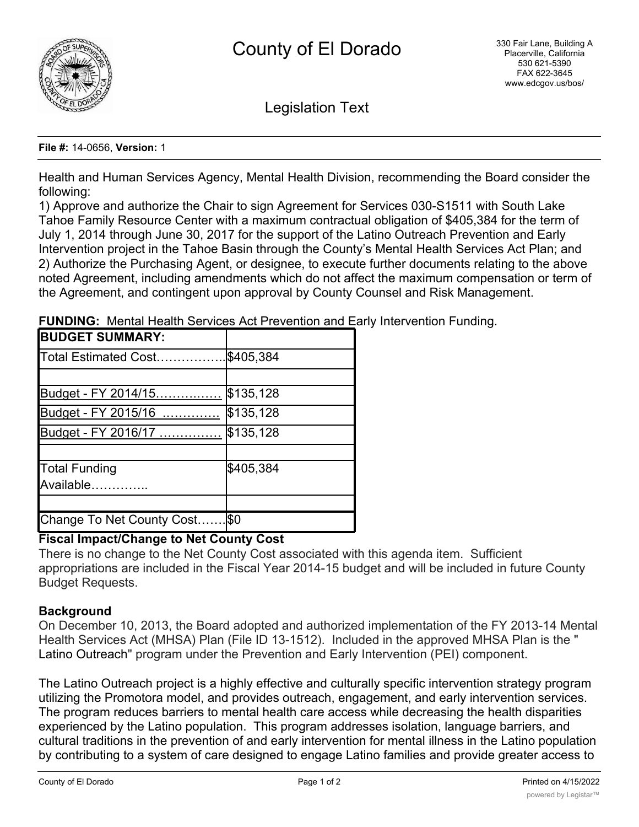

Legislation Text

#### **File #:** 14-0656, **Version:** 1

Health and Human Services Agency, Mental Health Division, recommending the Board consider the following:

1) Approve and authorize the Chair to sign Agreement for Services 030-S1511 with South Lake Tahoe Family Resource Center with a maximum contractual obligation of \$405,384 for the term of July 1, 2014 through June 30, 2017 for the support of the Latino Outreach Prevention and Early Intervention project in the Tahoe Basin through the County's Mental Health Services Act Plan; and 2) Authorize the Purchasing Agent, or designee, to execute further documents relating to the above noted Agreement, including amendments which do not affect the maximum compensation or term of the Agreement, and contingent upon approval by County Counsel and Risk Management.

| <b>BUDGET SUMMARY:</b>     |           |
|----------------------------|-----------|
| Total Estimated Cost       | \$405,384 |
|                            |           |
| Budget - FY 2014/15        | \$135,128 |
| Budget - FY 2015/16        | \$135,128 |
| Budget - FY 2016/17        | \$135,128 |
|                            |           |
| Total Funding              | \$405,384 |
| Available                  |           |
|                            |           |
| Change To Net County Cost. | \$0       |

**FUNDING:** Mental Health Services Act Prevention and Early Intervention Funding.

# **Fiscal Impact/Change to Net County Cost**

There is no change to the Net County Cost associated with this agenda item. Sufficient appropriations are included in the Fiscal Year 2014-15 budget and will be included in future County Budget Requests.

# **Background**

On December 10, 2013, the Board adopted and authorized implementation of the FY 2013-14 Mental Health Services Act (MHSA) Plan (File ID 13-1512). Included in the approved MHSA Plan is the " Latino Outreach" program under the Prevention and Early Intervention (PEI) component.

The Latino Outreach project is a highly effective and culturally specific intervention strategy program utilizing the Promotora model, and provides outreach, engagement, and early intervention services. The program reduces barriers to mental health care access while decreasing the health disparities experienced by the Latino population. This program addresses isolation, language barriers, and cultural traditions in the prevention of and early intervention for mental illness in the Latino population by contributing to a system of care designed to engage Latino families and provide greater access to